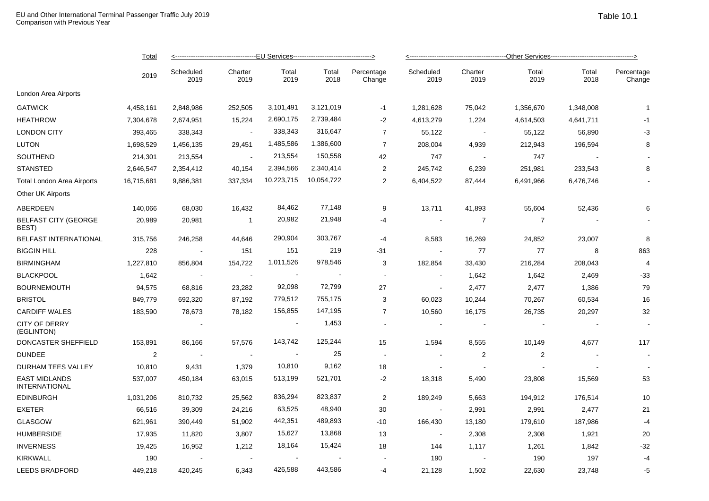|                                              | <u>Total</u>   | <------------------------------------EU Services--------------------------------> |                 |               |               |                      |                   |                 |               |               |                      |  |
|----------------------------------------------|----------------|-----------------------------------------------------------------------------------|-----------------|---------------|---------------|----------------------|-------------------|-----------------|---------------|---------------|----------------------|--|
|                                              | 2019           | Scheduled<br>2019                                                                 | Charter<br>2019 | Total<br>2019 | Total<br>2018 | Percentage<br>Change | Scheduled<br>2019 | Charter<br>2019 | Total<br>2019 | Total<br>2018 | Percentage<br>Change |  |
| London Area Airports                         |                |                                                                                   |                 |               |               |                      |                   |                 |               |               |                      |  |
| <b>GATWICK</b>                               | 4,458,161      | 2,848,986                                                                         | 252,505         | 3,101,491     | 3,121,019     | $-1$                 | 1,281,628         | 75,042          | 1,356,670     | 1,348,008     | $\mathbf{1}$         |  |
| <b>HEATHROW</b>                              | 7,304,678      | 2,674,951                                                                         | 15,224          | 2,690,175     | 2,739,484     | $-2$                 | 4,613,279         | 1,224           | 4,614,503     | 4,641,711     | $-1$                 |  |
| <b>LONDON CITY</b>                           | 393,465        | 338,343                                                                           | $\sim$          | 338,343       | 316,647       | $\overline{7}$       | 55,122            | $\sim$ $-$      | 55,122        | 56,890        | $-3$                 |  |
| <b>LUTON</b>                                 | 1,698,529      | 1,456,135                                                                         | 29,451          | 1,485,586     | 1,386,600     | $\overline{7}$       | 208,004           | 4,939           | 212,943       | 196,594       | 8                    |  |
| SOUTHEND                                     | 214,301        | 213,554                                                                           | $\sim$          | 213,554       | 150,558       | 42                   | 747               | $\sim$          | 747           |               |                      |  |
| <b>STANSTED</b>                              | 2,646,547      | 2,354,412                                                                         | 40,154          | 2,394,566     | 2,340,414     | $\overline{c}$       | 245,742           | 6,239           | 251,981       | 233,543       | 8                    |  |
| Total London Area Airports                   | 16,715,681     | 9,886,381                                                                         | 337,334         | 10,223,715    | 10,054,722    | $\overline{2}$       | 6,404,522         | 87,444          | 6,491,966     | 6,476,746     |                      |  |
| Other UK Airports                            |                |                                                                                   |                 |               |               |                      |                   |                 |               |               |                      |  |
| ABERDEEN                                     | 140,066        | 68,030                                                                            | 16,432          | 84,462        | 77,148        | 9                    | 13,711            | 41,893          | 55,604        | 52,436        | 6                    |  |
| <b>BELFAST CITY (GEORGE</b><br>BEST)         | 20,989         | 20,981                                                                            | $\overline{1}$  | 20,982        | 21,948        | -4                   |                   | $\overline{7}$  | 7             |               |                      |  |
| <b>BELFAST INTERNATIONAL</b>                 | 315,756        | 246,258                                                                           | 44,646          | 290,904       | 303,767       | -4                   | 8,583             | 16,269          | 24,852        | 23,007        | 8                    |  |
| <b>BIGGIN HILL</b>                           | 228            |                                                                                   | 151             | 151           | 219           | $-31$                |                   | 77              | 77            | 8             | 863                  |  |
| <b>BIRMINGHAM</b>                            | 1,227,810      | 856,804                                                                           | 154,722         | 1,011,526     | 978,546       | 3                    | 182,854           | 33,430          | 216,284       | 208,043       | $\overline{4}$       |  |
| <b>BLACKPOOL</b>                             | 1,642          | $\sim$ $-$                                                                        | $\blacksquare$  |               |               | $\sim$               | $\sim$            | 1,642           | 1,642         | 2,469         | $-33$                |  |
| <b>BOURNEMOUTH</b>                           | 94,575         | 68,816                                                                            | 23,282          | 92,098        | 72,799        | 27                   | $\sim$            | 2,477           | 2,477         | 1,386         | 79                   |  |
| <b>BRISTOL</b>                               | 849,779        | 692,320                                                                           | 87,192          | 779,512       | 755,175       | 3                    | 60,023            | 10,244          | 70,267        | 60,534        | 16                   |  |
| <b>CARDIFF WALES</b>                         | 183,590        | 78,673                                                                            | 78,182          | 156,855       | 147,195       | $\overline{7}$       | 10,560            | 16,175          | 26,735        | 20,297        | 32                   |  |
| <b>CITY OF DERRY</b><br>(EGLINTON)           |                |                                                                                   |                 |               | 1,453         |                      |                   |                 |               |               |                      |  |
| DONCASTER SHEFFIELD                          | 153,891        | 86,166                                                                            | 57,576          | 143,742       | 125,244       | 15                   | 1,594             | 8,555           | 10,149        | 4,677         | 117                  |  |
| <b>DUNDEE</b>                                | $\overline{2}$ | $\sim$ $\sim$                                                                     | $\sim$          | $\sim$        | 25            | $\sim$               |                   | 2               | 2             |               |                      |  |
| DURHAM TEES VALLEY                           | 10,810         | 9,431                                                                             | 1,379           | 10,810        | 9,162         | 18                   |                   | $\sim$          |               |               |                      |  |
| <b>EAST MIDLANDS</b><br><b>INTERNATIONAL</b> | 537,007        | 450,184                                                                           | 63,015          | 513,199       | 521,701       | $-2$                 | 18,318            | 5,490           | 23,808        | 15,569        | 53                   |  |
| <b>EDINBURGH</b>                             | 1,031,206      | 810,732                                                                           | 25,562          | 836,294       | 823,837       | 2                    | 189,249           | 5,663           | 194,912       | 176,514       | 10                   |  |
| <b>EXETER</b>                                | 66,516         | 39,309                                                                            | 24,216          | 63,525        | 48,940        | 30                   | $\sim$            | 2,991           | 2,991         | 2,477         | 21                   |  |
| <b>GLASGOW</b>                               | 621,961        | 390,449                                                                           | 51,902          | 442,351       | 489,893       | $-10$                | 166,430           | 13,180          | 179,610       | 187,986       | $-4$                 |  |
| <b>HUMBERSIDE</b>                            | 17,935         | 11,820                                                                            | 3,807           | 15,627        | 13,868        | 13                   | $\sim$            | 2,308           | 2,308         | 1,921         | 20                   |  |
| <b>INVERNESS</b>                             | 19,425         | 16,952                                                                            | 1,212           | 18,164        | 15,424        | 18                   | 144               | 1,117           | 1,261         | 1,842         | $-32$                |  |
| <b>KIRKWALL</b>                              | 190            |                                                                                   | $\sim$          | $\sim$        |               |                      | 190               |                 | 190           | 197           | $-4$                 |  |
| <b>LEEDS BRADFORD</b>                        | 449,218        | 420,245                                                                           | 6,343           | 426,588       | 443,586       | -4                   | 21,128            | 1,502           | 22,630        | 23,748        | $-5$                 |  |